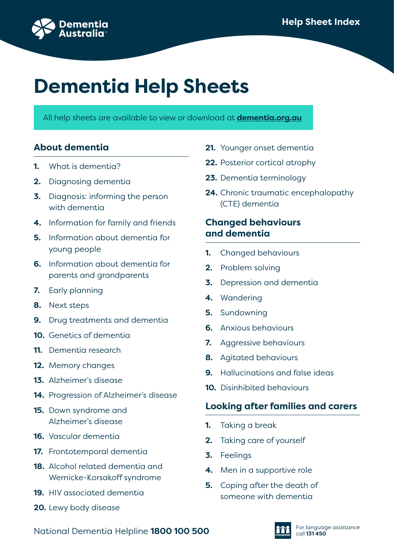

# **Dementia Help Sheets**

All help sheets are available to view or download at **dementia.org.au**

## **About dementia**

- **1.** What is dementia?
- **2.** Diagnosing dementia
- **3.** Diagnosis: informing the person with dementia
- **4.** Information for family and friends
- **5.** Information about dementia for young people
- **6.** Information about dementia for parents and grandparents
- **7.** Early planning
- **8.** Next steps
- **9.** Drug treatments and dementia
- **10.** Genetics of dementia
- **11.** Dementia research
- **12.** Memory changes
- **13.** Alzheimer's disease
- **14.** Progression of Alzheimer's disease
- **15.** Down syndrome and Alzheimer's disease
- **16.** Vascular dementia
- **17.** Frontotemporal dementia
- **18.** Alcohol related dementia and Wernicke-Korsakoff syndrome
- **19.** HIV associated dementia
- **20.** Lewy body disease
- **21.** Younger onset dementia
- **22.** Posterior cortical atrophy
- **23.** Dementia terminology
- **24.** Chronic traumatic encephalopathy (CTE) dementia

## **Changed behaviours and dementia**

- **1.** Changed behaviours
- **2.** Problem solving
- **3.** Depression and dementia
- **4.** Wandering
- **5.** Sundowning
- **6.** Anxious behaviours
- **7.** Aggressive behaviours
- **8.** Agitated behaviours
- **9.** Hallucinations and false ideas
- **10.** Disinhibited behaviours

## **Looking after families and carers**

- **1.** Taking a break
- **2.** Taking care of yourself
- **3.** Feelings
- **4.** Men in a supportive role
- **5.** Coping after the death of someone with dementia

National Dementia Helpline **1800 100 500 Call 131 450** call 131 450

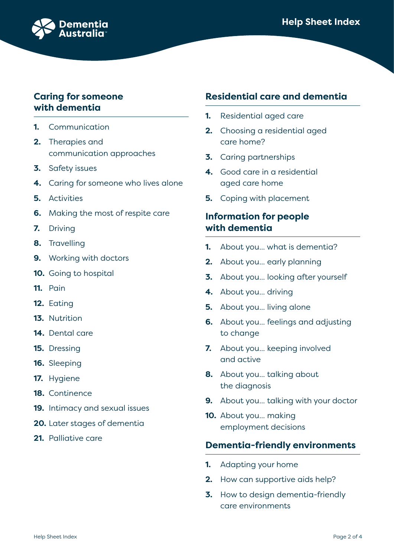

#### **Caring for someone with dementia**

- **1.** Communication
- **2.** Therapies and communication approaches
- **3.** Safety issues
- **4.** Caring for someone who lives alone
- **5.** Activities
- **6.** Making the most of respite care
- **7.** Driving
- **8.** Travelling
- **9.** Working with doctors
- **10.** Going to hospital
- **11.** Pain
- **12.** Eating
- **13.** Nutrition
- **14.** Dental care
- **15.** Dressing
- **16.** Sleeping
- **17.** Hygiene
- **18.** Continence
- **19.** Intimacy and sexual issues
- **20.** Later stages of dementia
- **21.** Palliative care

#### **Residential care and dementia**

- **1.** Residential aged care
- **2.** Choosing a residential aged care home?
- **3.** Caring partnerships
- **4.** Good care in a residential aged care home
- **5.** Coping with placement

## **Information for people with dementia**

- **1.** About you... what is dementia?
- **2.** About you... early planning
- **3.** About you... looking after yourself
- **4.** About you... driving
- **5.** About you... living alone
- **6.** About you... feelings and adjusting to change
- **7.** About you... keeping involved and active
- **8.** About you... talking about the diagnosis
- **9.** About you... talking with your doctor
- **10.** About you... making employment decisions

#### **Dementia-friendly environments**

- **1.** Adapting your home
- **2.** How can supportive aids help?
- **3.** How to design dementia-friendly care environments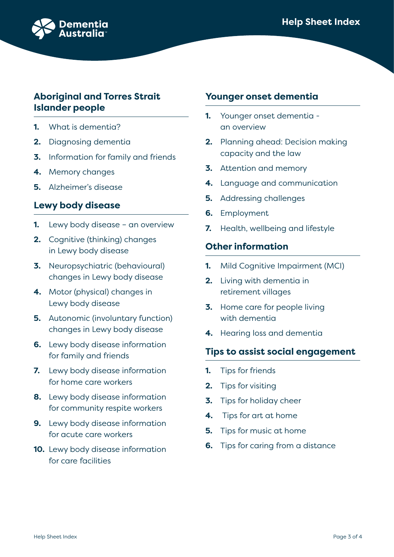



## **Aboriginal and Torres Strait Islander people**

- **1.** What is dementia?
- **2.** Diagnosing dementia
- **3.** Information for family and friends
- **4.** Memory changes
- **5.** Alzheimer's disease

## **Lewy body disease**

- **1.** Lewy body disease an overview
- **2.** Cognitive (thinking) changes in Lewy body disease
- **3.** Neuropsychiatric (behavioural) changes in Lewy body disease
- **4.** Motor (physical) changes in Lewy body disease
- **5.** Autonomic (involuntary function) changes in Lewy body disease
- **6.** Lewy body disease information for family and friends
- **7.** Lewy body disease information for home care workers
- **8.** Lewy body disease information for community respite workers
- **9.** Lewy body disease information for acute care workers
- **10.** Lewy body disease information for care facilities

## **Younger onset dementia**

- **1.** Younger onset dementia an overview
- **2.** Planning ahead: Decision making capacity and the law
- **3.** Attention and memory
- **4.** Language and communication
- **5.** Addressing challenges
- **6.** Employment
- **7.** Health, wellbeing and lifestyle

#### **Other information**

- **1.** Mild Cognitive Impairment (MCI)
- **2.** Living with dementia in retirement villages
- **3.** Home care for people living with dementia
- **4.** Hearing loss and dementia

#### **Tips to assist social engagement**

- **1.** Tips for friends
- **2.** Tips for visiting
- **3.** Tips for holiday cheer
- **4.** Tips for art at home
- **5.** Tips for music at home
- **6.** Tips for caring from a distance